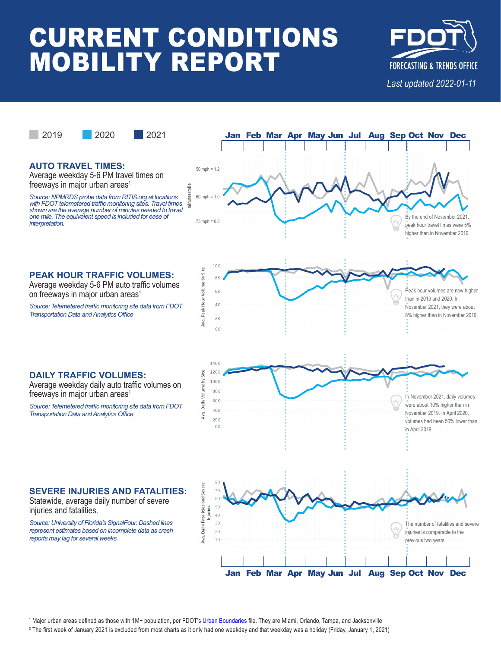# **CURRENT CONDITIONS MOBILITY REPORT**



The number of fatalities and severe injuries is comparable to the previous two years.



## **AUTO TRAVEL TIMES:**

Average weekday 5-6 PM travel times on freeways in major urban areas $<sup>1</sup>$ </sup>

*Source: NPMRDS probe data from RITIS.org at locations with FDOT telemetered traffic monitoring sites. Travel times shown are the average number of minutes needed to travel one mile. The equivalent speed is included for ease of interpretation.*





## **PEAK HOUR TRAFFIC VOLUMES:**

Average weekday 5-6 PM auto traffic volumes on freeways in major urban areas<sup>1</sup>

*Source: Telemetered traffic monitoring site data from FDOT Transportation Data and Analytics Office*



**Jan Feb Mar Apr May Jun Jul Aug Sep Oct Nov Dec**

### **DAILY TRAFFIC VOLUMES:**

Average weekday daily auto traffic volumes on freeways in major urban areas<sup>1</sup>

*Source: Telemetered traffic monitoring site data from FDOT Transportation Data and Analytics Office*

## **SEVERE INJURIES AND FATALITIES:**

Statewide, average daily number of severe injuries and fatalities.

*Source: University of Florida's SignalFour. Dashed lines represent estimates based on incomplete data as crash reports may lag for several weeks.*



² The first week of January 2021 is excluded from most charts as it only had one weekday and that weekday was a holiday (Friday, January 1, 2021)